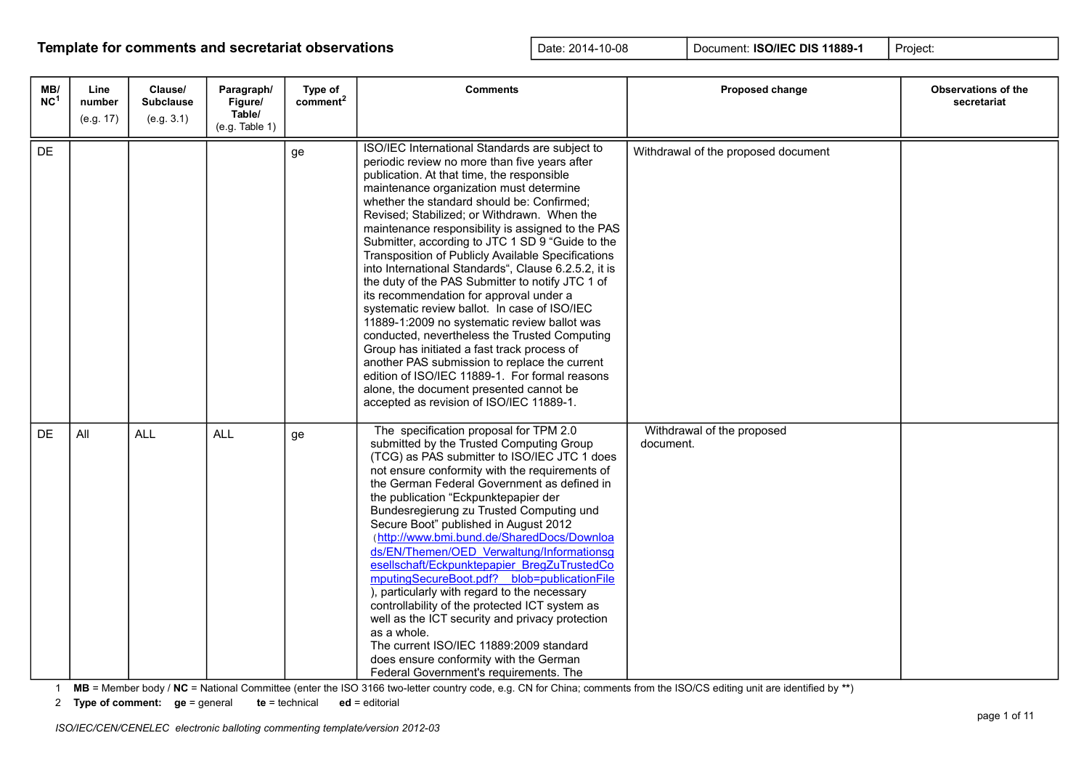| MB/<br>NC <sup>1</sup> | Line<br>number<br>(e.g. 17) | Clause/<br><b>Subclause</b><br>(e.g. 3.1) | Paragraph/<br>Figure/<br>Table/<br>(e.g. Table 1) | Type of<br>comment <sup>2</sup> | <b>Comments</b>                                                                                                                                                                                                                                                                                                                                                                                                                                                                                                                                                                                                                                                                                                                                                                                                                                                                                                                                                                                       | Proposed change                         | <b>Observations of the</b><br>secretariat |
|------------------------|-----------------------------|-------------------------------------------|---------------------------------------------------|---------------------------------|-------------------------------------------------------------------------------------------------------------------------------------------------------------------------------------------------------------------------------------------------------------------------------------------------------------------------------------------------------------------------------------------------------------------------------------------------------------------------------------------------------------------------------------------------------------------------------------------------------------------------------------------------------------------------------------------------------------------------------------------------------------------------------------------------------------------------------------------------------------------------------------------------------------------------------------------------------------------------------------------------------|-----------------------------------------|-------------------------------------------|
| DE                     |                             |                                           |                                                   | ge                              | ISO/IEC International Standards are subject to<br>periodic review no more than five years after<br>publication. At that time, the responsible<br>maintenance organization must determine<br>whether the standard should be: Confirmed;<br>Revised; Stabilized; or Withdrawn. When the<br>maintenance responsibility is assigned to the PAS<br>Submitter, according to JTC 1 SD 9 "Guide to the<br>Transposition of Publicly Available Specifications<br>into International Standards", Clause 6.2.5.2, it is<br>the duty of the PAS Submitter to notify JTC 1 of<br>its recommendation for approval under a<br>systematic review ballot. In case of ISO/IEC<br>11889-1:2009 no systematic review ballot was<br>conducted, nevertheless the Trusted Computing<br>Group has initiated a fast track process of<br>another PAS submission to replace the current<br>edition of ISO/IEC 11889-1. For formal reasons<br>alone, the document presented cannot be<br>accepted as revision of ISO/IEC 11889-1. | Withdrawal of the proposed document     |                                           |
| DE                     | All                         | <b>ALL</b>                                | <b>ALL</b>                                        | ge                              | The specification proposal for TPM 2.0<br>submitted by the Trusted Computing Group<br>(TCG) as PAS submitter to ISO/IEC JTC 1 does<br>not ensure conformity with the requirements of<br>the German Federal Government as defined in<br>the publication "Eckpunktepapier der<br>Bundesregierung zu Trusted Computing und<br>Secure Boot" published in August 2012<br>(http://www.bmi.bund.de/SharedDocs/Downloa<br>ds/EN/Themen/OED Verwaltung/Informationsg<br>esellschaft/Eckpunktepapier BregZuTrustedCo<br>mputingSecureBoot.pdf? blob=publicationFile<br>), particularly with regard to the necessary<br>controllability of the protected ICT system as<br>well as the ICT security and privacy protection<br>as a whole.<br>The current ISO/IEC 11889:2009 standard<br>does ensure conformity with the German<br>Federal Government's requirements. The                                                                                                                                          | Withdrawal of the proposed<br>document. |                                           |

1 **MB** = Member body / **NC** = National Committee (enter the ISO 3166 two-letter country code, e.g. CN for China; comments from the ISO/CS editing unit are identified by **\*\***)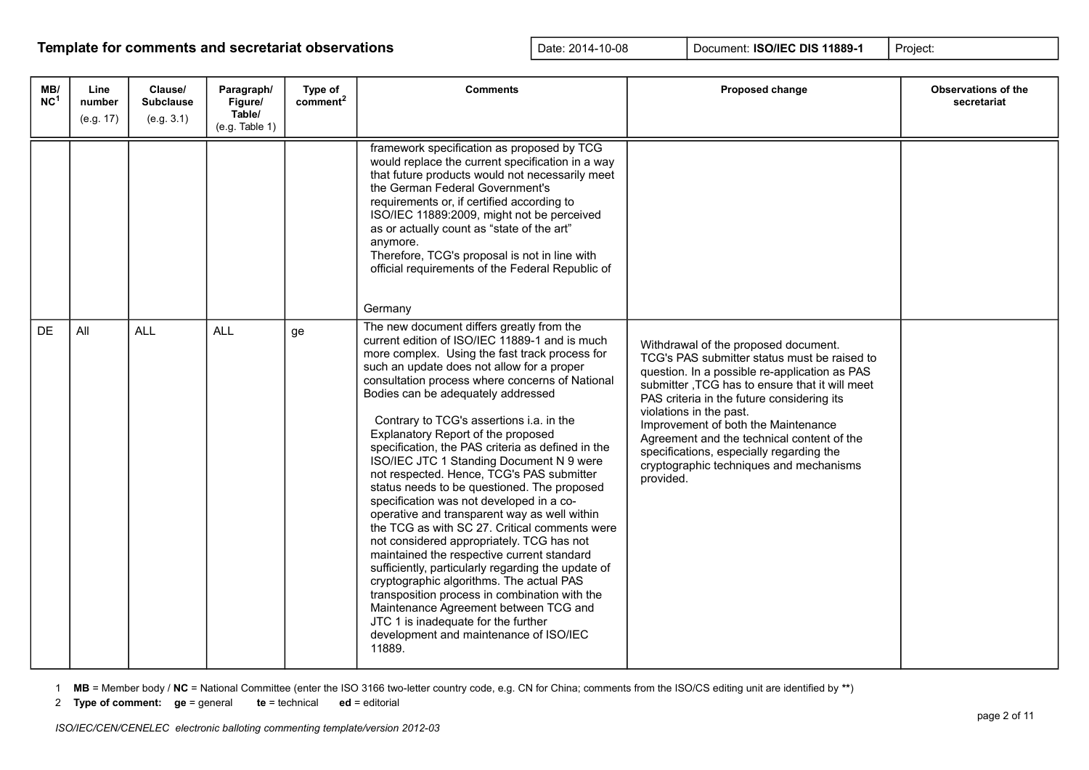| MB/<br>NC <sup>1</sup> | Line<br>number<br>(e.g. 17) | Clause/<br><b>Subclause</b><br>(e.g. 3.1) | Paragraph/<br>Figure/<br>Table/<br>(e.g. Table 1) | Type of<br>comment <sup>2</sup> | <b>Comments</b>                                                                                                                                                                                                                                                                                                                                                                                                                                                                                                                                                                                                                                                                                                                                                                                                                                                                                                                                                                                                                                                                                    | Proposed change                                                                                                                                                                                                                                                                                                                                                                                                                                           | <b>Observations of the</b><br>secretariat |
|------------------------|-----------------------------|-------------------------------------------|---------------------------------------------------|---------------------------------|----------------------------------------------------------------------------------------------------------------------------------------------------------------------------------------------------------------------------------------------------------------------------------------------------------------------------------------------------------------------------------------------------------------------------------------------------------------------------------------------------------------------------------------------------------------------------------------------------------------------------------------------------------------------------------------------------------------------------------------------------------------------------------------------------------------------------------------------------------------------------------------------------------------------------------------------------------------------------------------------------------------------------------------------------------------------------------------------------|-----------------------------------------------------------------------------------------------------------------------------------------------------------------------------------------------------------------------------------------------------------------------------------------------------------------------------------------------------------------------------------------------------------------------------------------------------------|-------------------------------------------|
|                        |                             |                                           |                                                   |                                 | framework specification as proposed by TCG<br>would replace the current specification in a way<br>that future products would not necessarily meet<br>the German Federal Government's<br>requirements or, if certified according to<br>ISO/IEC 11889:2009, might not be perceived<br>as or actually count as "state of the art"<br>anymore.<br>Therefore, TCG's proposal is not in line with<br>official requirements of the Federal Republic of<br>Germany                                                                                                                                                                                                                                                                                                                                                                                                                                                                                                                                                                                                                                         |                                                                                                                                                                                                                                                                                                                                                                                                                                                           |                                           |
| DE.                    | All                         | <b>ALL</b>                                | <b>ALL</b>                                        | ge                              | The new document differs greatly from the<br>current edition of ISO/IEC 11889-1 and is much<br>more complex. Using the fast track process for<br>such an update does not allow for a proper<br>consultation process where concerns of National<br>Bodies can be adequately addressed<br>Contrary to TCG's assertions i.a. in the<br>Explanatory Report of the proposed<br>specification, the PAS criteria as defined in the<br>ISO/IEC JTC 1 Standing Document N 9 were<br>not respected. Hence, TCG's PAS submitter<br>status needs to be questioned. The proposed<br>specification was not developed in a co-<br>operative and transparent way as well within<br>the TCG as with SC 27. Critical comments were<br>not considered appropriately. TCG has not<br>maintained the respective current standard<br>sufficiently, particularly regarding the update of<br>cryptographic algorithms. The actual PAS<br>transposition process in combination with the<br>Maintenance Agreement between TCG and<br>JTC 1 is inadequate for the further<br>development and maintenance of ISO/IEC<br>11889. | Withdrawal of the proposed document.<br>TCG's PAS submitter status must be raised to<br>question. In a possible re-application as PAS<br>submitter, TCG has to ensure that it will meet<br>PAS criteria in the future considering its<br>violations in the past.<br>Improvement of both the Maintenance<br>Agreement and the technical content of the<br>specifications, especially regarding the<br>cryptographic techniques and mechanisms<br>provided. |                                           |

1 **MB** = Member body / **NC** = National Committee (enter the ISO 3166 two-letter country code, e.g. CN for China; comments from the ISO/CS editing unit are identified by **\*\***)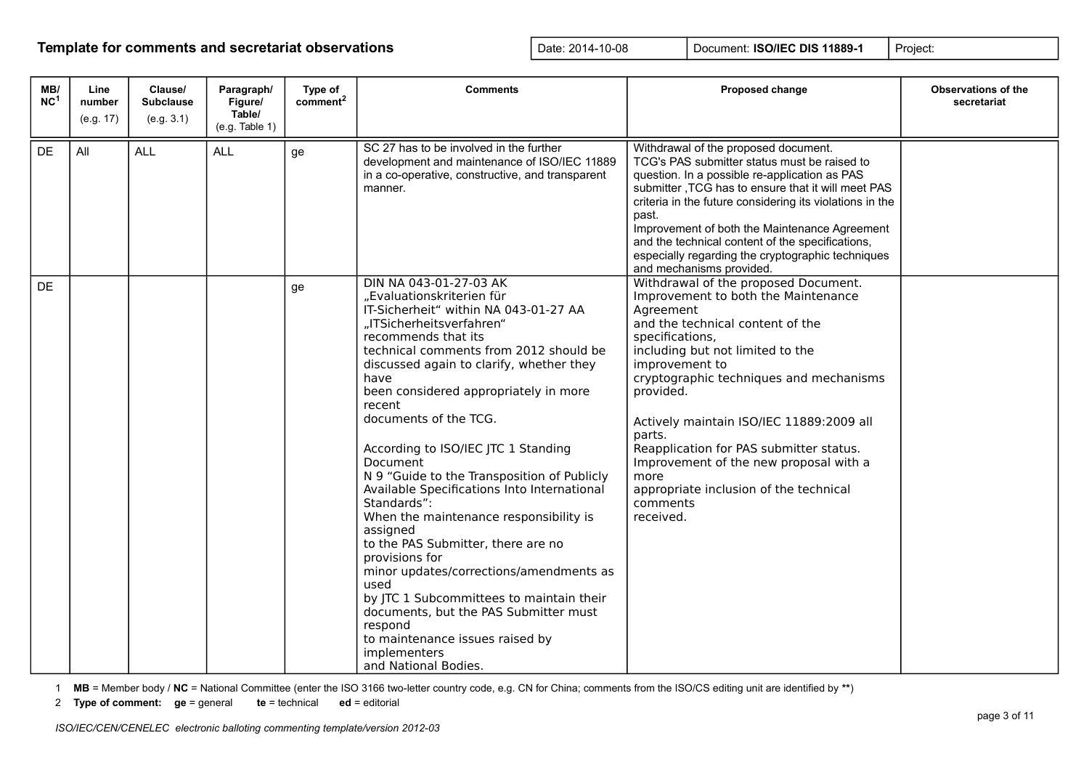| MB/<br>NC <sup>1</sup> | Line<br>number<br>(e.g. 17) | Clause/<br><b>Subclause</b><br>(e.g. 3.1) | Paragraph/<br>Figure/<br>Table/<br>(e.g. Table 1) | Type of<br>comment <sup>2</sup> | <b>Comments</b>                                                                                                                                                                                                                                                                                                                                                                                                                                                                                                                                                                                                                                                                                                                                                                                                                       | Proposed change                                                                                                                                                                                                                                                                                                                                                                                                                                                                     | <b>Observations of the</b><br>secretariat |
|------------------------|-----------------------------|-------------------------------------------|---------------------------------------------------|---------------------------------|---------------------------------------------------------------------------------------------------------------------------------------------------------------------------------------------------------------------------------------------------------------------------------------------------------------------------------------------------------------------------------------------------------------------------------------------------------------------------------------------------------------------------------------------------------------------------------------------------------------------------------------------------------------------------------------------------------------------------------------------------------------------------------------------------------------------------------------|-------------------------------------------------------------------------------------------------------------------------------------------------------------------------------------------------------------------------------------------------------------------------------------------------------------------------------------------------------------------------------------------------------------------------------------------------------------------------------------|-------------------------------------------|
| DE                     | All                         | <b>ALL</b>                                | <b>ALL</b>                                        | ge                              | SC 27 has to be involved in the further<br>development and maintenance of ISO/IEC 11889<br>in a co-operative, constructive, and transparent<br>manner.                                                                                                                                                                                                                                                                                                                                                                                                                                                                                                                                                                                                                                                                                | Withdrawal of the proposed document.<br>TCG's PAS submitter status must be raised to<br>question. In a possible re-application as PAS<br>submitter, TCG has to ensure that it will meet PAS<br>criteria in the future considering its violations in the<br>past.<br>Improvement of both the Maintenance Agreement<br>and the technical content of the specifications,<br>especially regarding the cryptographic techniques<br>and mechanisms provided.                              |                                           |
| DE                     |                             |                                           |                                                   | ge                              | DIN NA 043-01-27-03 AK<br>"Evaluationskriterien für<br>IT-Sicherheit" within NA 043-01-27 AA<br>"ITSicherheitsverfahren"<br>recommends that its<br>technical comments from 2012 should be<br>discussed again to clarify, whether they<br>have<br>been considered appropriately in more<br>recent<br>documents of the TCG.<br>According to ISO/IEC JTC 1 Standing<br>Document<br>N 9 "Guide to the Transposition of Publicly<br>Available Specifications Into International<br>Standards":<br>When the maintenance responsibility is<br>assigned<br>to the PAS Submitter, there are no<br>provisions for<br>minor updates/corrections/amendments as<br>used<br>by JTC 1 Subcommittees to maintain their<br>documents, but the PAS Submitter must<br>respond<br>to maintenance issues raised by<br>implementers<br>and National Bodies. | Withdrawal of the proposed Document.<br>Improvement to both the Maintenance<br>Agreement<br>and the technical content of the<br>specifications,<br>including but not limited to the<br>improvement to<br>cryptographic techniques and mechanisms<br>provided.<br>Actively maintain ISO/IEC 11889:2009 all<br>parts.<br>Reapplication for PAS submitter status.<br>Improvement of the new proposal with a<br>more<br>appropriate inclusion of the technical<br>comments<br>received. |                                           |

1 **MB** = Member body / **NC** = National Committee (enter the ISO 3166 two-letter country code, e.g. CN for China; comments from the ISO/CS editing unit are identified by **\*\***)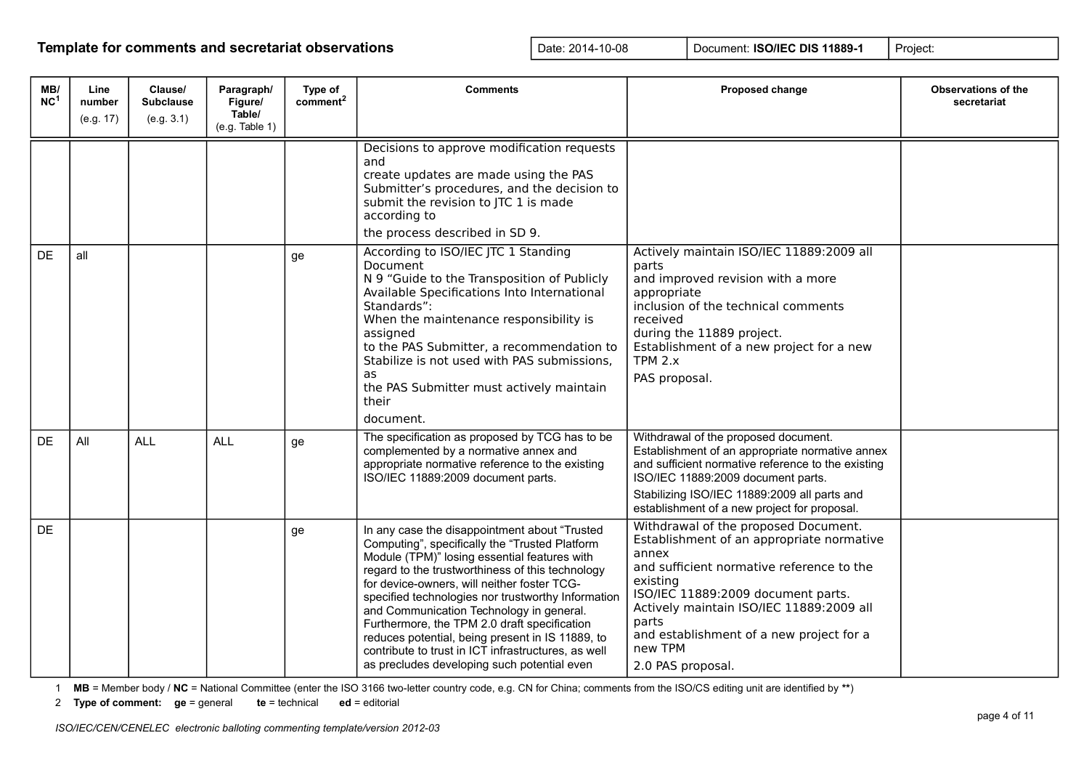| MB/<br>NC <sup>1</sup> | Line<br>number<br>(e.g. 17) | Clause/<br><b>Subclause</b><br>(e.g. 3.1) | Paragraph/<br>Figure/<br>Table/ | Type of<br>comment <sup>2</sup> | <b>Comments</b>                                                                                                                                                                                                                                                                                                                                                                                                                                                                                                                                                | <b>Proposed change</b>                                                                                                                                                                                                                                                                                                     | <b>Observations of the</b><br>secretariat |
|------------------------|-----------------------------|-------------------------------------------|---------------------------------|---------------------------------|----------------------------------------------------------------------------------------------------------------------------------------------------------------------------------------------------------------------------------------------------------------------------------------------------------------------------------------------------------------------------------------------------------------------------------------------------------------------------------------------------------------------------------------------------------------|----------------------------------------------------------------------------------------------------------------------------------------------------------------------------------------------------------------------------------------------------------------------------------------------------------------------------|-------------------------------------------|
|                        |                             |                                           | (e.g. Table 1)                  |                                 | Decisions to approve modification requests<br>and<br>create updates are made using the PAS<br>Submitter's procedures, and the decision to<br>submit the revision to JTC 1 is made<br>according to<br>the process described in SD 9.                                                                                                                                                                                                                                                                                                                            |                                                                                                                                                                                                                                                                                                                            |                                           |
| DF                     | all                         |                                           |                                 | ge                              | According to ISO/IEC JTC 1 Standing<br>Document<br>N 9 "Guide to the Transposition of Publicly<br>Available Specifications Into International<br>Standards":<br>When the maintenance responsibility is<br>assigned<br>to the PAS Submitter, a recommendation to<br>Stabilize is not used with PAS submissions,<br>as<br>the PAS Submitter must actively maintain<br>their<br>document.                                                                                                                                                                         | Actively maintain ISO/IEC 11889:2009 all<br>parts<br>and improved revision with a more<br>appropriate<br>inclusion of the technical comments<br>received<br>during the 11889 project.<br>Establishment of a new project for a new<br>TPM 2.x<br>PAS proposal.                                                              |                                           |
| <b>DE</b>              | All                         | <b>ALL</b>                                | <b>ALL</b>                      | ge                              | The specification as proposed by TCG has to be<br>complemented by a normative annex and<br>appropriate normative reference to the existing<br>ISO/IEC 11889:2009 document parts.                                                                                                                                                                                                                                                                                                                                                                               | Withdrawal of the proposed document.<br>Establishment of an appropriate normative annex<br>and sufficient normative reference to the existing<br>ISO/IEC 11889:2009 document parts.<br>Stabilizing ISO/IEC 11889:2009 all parts and<br>establishment of a new project for proposal.                                        |                                           |
| DF                     |                             |                                           |                                 | ge                              | In any case the disappointment about "Trusted<br>Computing", specifically the "Trusted Platform<br>Module (TPM)" losing essential features with<br>regard to the trustworthiness of this technology<br>for device-owners, will neither foster TCG-<br>specified technologies nor trustworthy Information<br>and Communication Technology in general.<br>Furthermore, the TPM 2.0 draft specification<br>reduces potential, being present in IS 11889, to<br>contribute to trust in ICT infrastructures, as well<br>as precludes developing such potential even | Withdrawal of the proposed Document.<br>Establishment of an appropriate normative<br>annex<br>and sufficient normative reference to the<br>existing<br>ISO/IEC 11889:2009 document parts.<br>Actively maintain ISO/IEC 11889:2009 all<br>parts<br>and establishment of a new project for a<br>new TPM<br>2.0 PAS proposal. |                                           |

1 **MB** = Member body / **NC** = National Committee (enter the ISO 3166 two-letter country code, e.g. CN for China; comments from the ISO/CS editing unit are identified by **\*\***)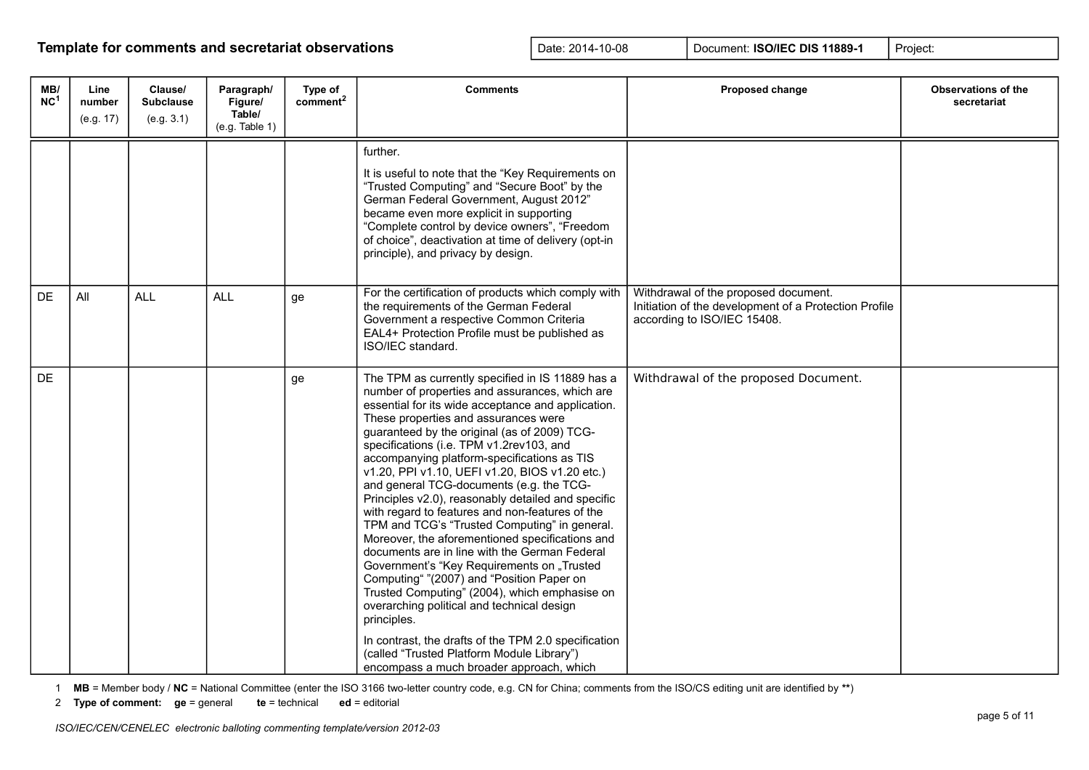| MB/<br>NC <sup>1</sup> | Line<br>number<br>(e.g. 17) | Clause/<br><b>Subclause</b><br>(e.g. 3.1) | Paragraph/<br>Figure/<br>Table/<br>(e.g. Table 1) | Type of<br>comment <sup>2</sup> | <b>Comments</b>                                                                                                                                                                                                                                                                                                                                                                                                                                                                                                                                                                                                                                                                                                                                                                                                                                                                                                                                                                                                                                                    | Proposed change                                                                                                              | <b>Observations of the</b><br>secretariat |
|------------------------|-----------------------------|-------------------------------------------|---------------------------------------------------|---------------------------------|--------------------------------------------------------------------------------------------------------------------------------------------------------------------------------------------------------------------------------------------------------------------------------------------------------------------------------------------------------------------------------------------------------------------------------------------------------------------------------------------------------------------------------------------------------------------------------------------------------------------------------------------------------------------------------------------------------------------------------------------------------------------------------------------------------------------------------------------------------------------------------------------------------------------------------------------------------------------------------------------------------------------------------------------------------------------|------------------------------------------------------------------------------------------------------------------------------|-------------------------------------------|
|                        |                             |                                           |                                                   |                                 | further.<br>It is useful to note that the "Key Requirements on<br>"Trusted Computing" and "Secure Boot" by the<br>German Federal Government, August 2012"<br>became even more explicit in supporting<br>"Complete control by device owners", "Freedom<br>of choice", deactivation at time of delivery (opt-in<br>principle), and privacy by design.                                                                                                                                                                                                                                                                                                                                                                                                                                                                                                                                                                                                                                                                                                                |                                                                                                                              |                                           |
| DF.                    | All                         | <b>ALL</b>                                | <b>ALL</b>                                        | ge                              | For the certification of products which comply with<br>the requirements of the German Federal<br>Government a respective Common Criteria<br>EAL4+ Protection Profile must be published as<br>ISO/IEC standard.                                                                                                                                                                                                                                                                                                                                                                                                                                                                                                                                                                                                                                                                                                                                                                                                                                                     | Withdrawal of the proposed document.<br>Initiation of the development of a Protection Profile<br>according to ISO/IEC 15408. |                                           |
| DE                     |                             |                                           |                                                   | ge                              | The TPM as currently specified in IS 11889 has a<br>number of properties and assurances, which are<br>essential for its wide acceptance and application.<br>These properties and assurances were<br>guaranteed by the original (as of 2009) TCG-<br>specifications (i.e. TPM v1.2rev103, and<br>accompanying platform-specifications as TIS<br>v1.20, PPI v1.10, UEFI v1.20, BIOS v1.20 etc.)<br>and general TCG-documents (e.g. the TCG-<br>Principles v2.0), reasonably detailed and specific<br>with regard to features and non-features of the<br>TPM and TCG's "Trusted Computing" in general.<br>Moreover, the aforementioned specifications and<br>documents are in line with the German Federal<br>Government's "Key Requirements on "Trusted<br>Computing" "(2007) and "Position Paper on<br>Trusted Computing" (2004), which emphasise on<br>overarching political and technical design<br>principles.<br>In contrast, the drafts of the TPM 2.0 specification<br>(called "Trusted Platform Module Library")<br>encompass a much broader approach, which | Withdrawal of the proposed Document.                                                                                         |                                           |

1 **MB** = Member body / **NC** = National Committee (enter the ISO 3166 two-letter country code, e.g. CN for China; comments from the ISO/CS editing unit are identified by **\*\***)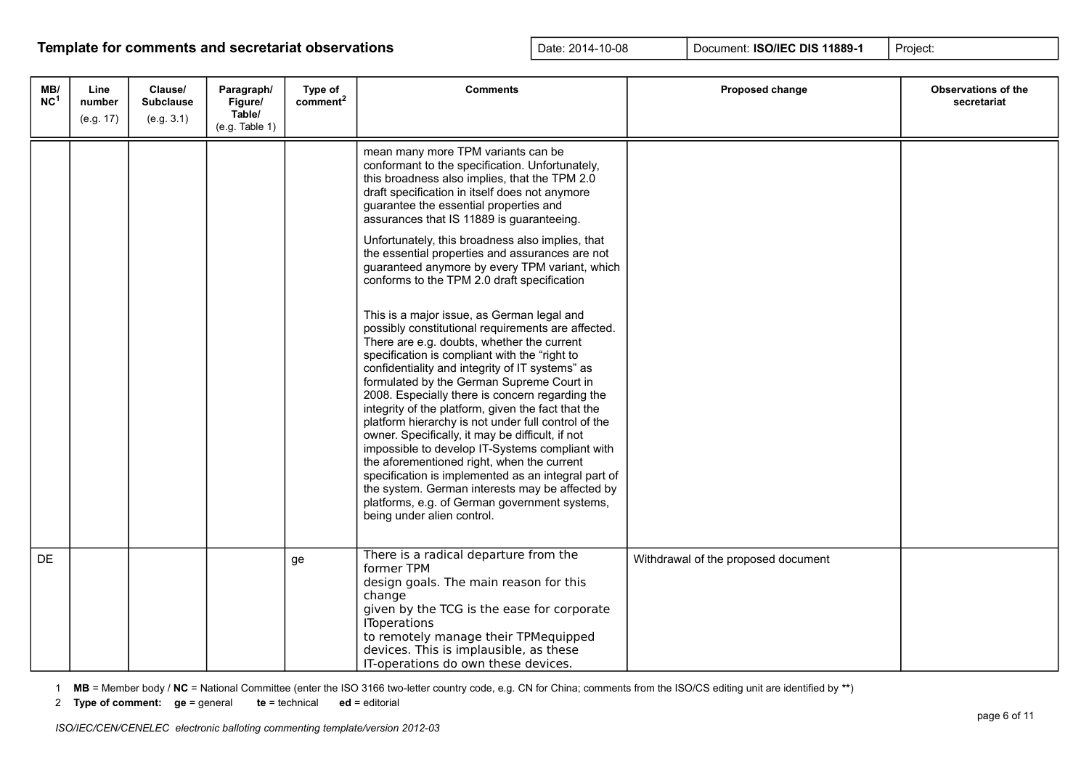| MB/<br>NC <sup>1</sup> | Line<br>number<br>(e.g. 17) | Clause/<br><b>Subclause</b><br>(e.g. 3.1) | Paragraph/<br>Figure/<br>Table/<br>(e.g. Table 1) | Type of<br>comment <sup>2</sup> | <b>Comments</b>                                                                                                                                                                                                                                                                                                                                                                                                                                                                                                                                                                                                                                                                                                                                                                                                                                                                                                                                                                                                                                                                                                                                                                                                                                                                                          | Proposed change                     | <b>Observations of the</b><br>secretariat |
|------------------------|-----------------------------|-------------------------------------------|---------------------------------------------------|---------------------------------|----------------------------------------------------------------------------------------------------------------------------------------------------------------------------------------------------------------------------------------------------------------------------------------------------------------------------------------------------------------------------------------------------------------------------------------------------------------------------------------------------------------------------------------------------------------------------------------------------------------------------------------------------------------------------------------------------------------------------------------------------------------------------------------------------------------------------------------------------------------------------------------------------------------------------------------------------------------------------------------------------------------------------------------------------------------------------------------------------------------------------------------------------------------------------------------------------------------------------------------------------------------------------------------------------------|-------------------------------------|-------------------------------------------|
|                        |                             |                                           |                                                   |                                 | mean many more TPM variants can be<br>conformant to the specification. Unfortunately,<br>this broadness also implies, that the TPM 2.0<br>draft specification in itself does not anymore<br>guarantee the essential properties and<br>assurances that IS 11889 is guaranteeing.<br>Unfortunately, this broadness also implies, that<br>the essential properties and assurances are not<br>guaranteed anymore by every TPM variant, which<br>conforms to the TPM 2.0 draft specification<br>This is a major issue, as German legal and<br>possibly constitutional requirements are affected.<br>There are e.g. doubts, whether the current<br>specification is compliant with the "right to<br>confidentiality and integrity of IT systems" as<br>formulated by the German Supreme Court in<br>2008. Especially there is concern regarding the<br>integrity of the platform, given the fact that the<br>platform hierarchy is not under full control of the<br>owner. Specifically, it may be difficult, if not<br>impossible to develop IT-Systems compliant with<br>the aforementioned right, when the current<br>specification is implemented as an integral part of<br>the system. German interests may be affected by<br>platforms, e.g. of German government systems,<br>being under alien control. |                                     |                                           |
| DE                     |                             |                                           |                                                   | ge                              | There is a radical departure from the<br>former TPM<br>design goals. The main reason for this<br>change<br>given by the TCG is the ease for corporate<br><b>IToperations</b><br>to remotely manage their TPMequipped<br>devices. This is implausible, as these<br>IT-operations do own these devices.                                                                                                                                                                                                                                                                                                                                                                                                                                                                                                                                                                                                                                                                                                                                                                                                                                                                                                                                                                                                    | Withdrawal of the proposed document |                                           |

1 **MB** = Member body / **NC** = National Committee (enter the ISO 3166 two-letter country code, e.g. CN for China; comments from the ISO/CS editing unit are identified by **\*\***)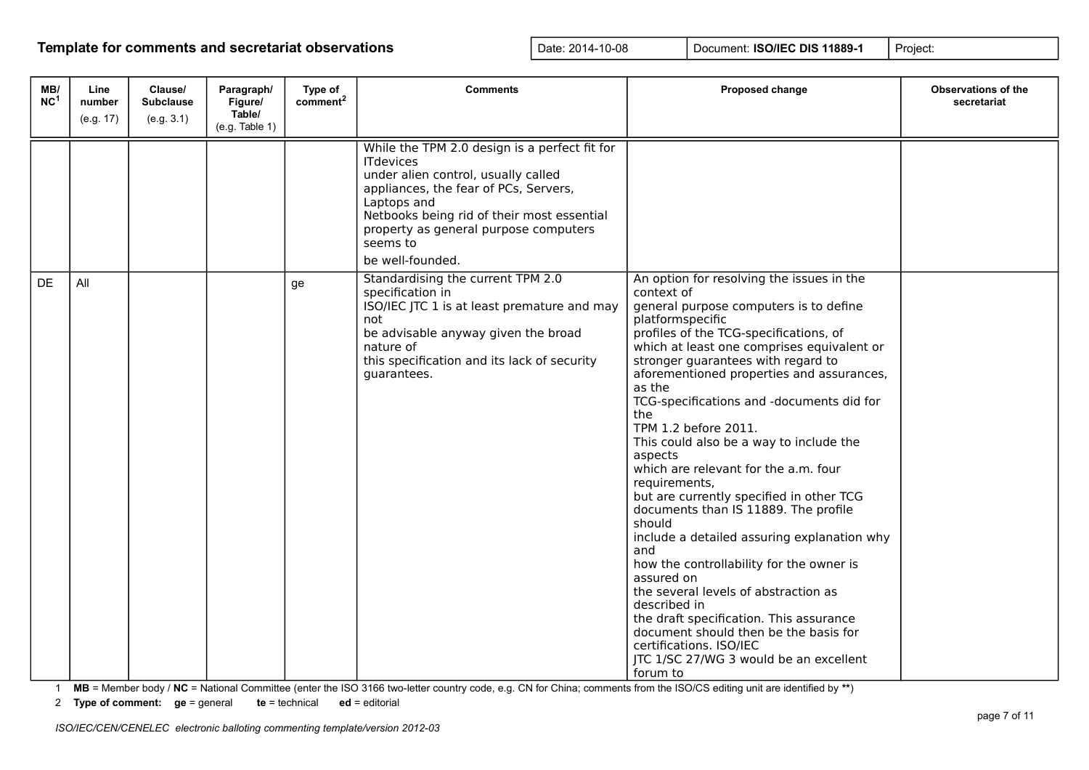| MB/<br>NC <sup>1</sup> | Line<br>number<br>(e.g. 17) | Clause/<br><b>Subclause</b><br>(e.g. 3.1) | Paragraph/<br>Figure/<br>Table/<br>(e.g. Table 1) | Type of<br>comment <sup>2</sup> | <b>Comments</b>                                                                                                                                                                                                                                                                         | Proposed change                                                                                                                                                                                                                                                                                                                                                                                                                                                                                                                                                                                                                                                                                                                                                                                                                                                                                                                                  | <b>Observations of the</b><br>secretariat |
|------------------------|-----------------------------|-------------------------------------------|---------------------------------------------------|---------------------------------|-----------------------------------------------------------------------------------------------------------------------------------------------------------------------------------------------------------------------------------------------------------------------------------------|--------------------------------------------------------------------------------------------------------------------------------------------------------------------------------------------------------------------------------------------------------------------------------------------------------------------------------------------------------------------------------------------------------------------------------------------------------------------------------------------------------------------------------------------------------------------------------------------------------------------------------------------------------------------------------------------------------------------------------------------------------------------------------------------------------------------------------------------------------------------------------------------------------------------------------------------------|-------------------------------------------|
|                        |                             |                                           |                                                   |                                 | While the TPM 2.0 design is a perfect fit for<br><b>ITdevices</b><br>under alien control, usually called<br>appliances, the fear of PCs, Servers,<br>Laptops and<br>Netbooks being rid of their most essential<br>property as general purpose computers<br>seems to<br>be well-founded. |                                                                                                                                                                                                                                                                                                                                                                                                                                                                                                                                                                                                                                                                                                                                                                                                                                                                                                                                                  |                                           |
| DE                     | All                         |                                           |                                                   | ge                              | Standardising the current TPM 2.0<br>specification in<br>ISO/IEC JTC 1 is at least premature and may<br>not<br>be advisable anyway given the broad<br>nature of<br>this specification and its lack of security<br>guarantees.                                                           | An option for resolving the issues in the<br>context of<br>general purpose computers is to define<br>platformspecific<br>profiles of the TCG-specifications, of<br>which at least one comprises equivalent or<br>stronger guarantees with regard to<br>aforementioned properties and assurances,<br>as the<br>TCG-specifications and -documents did for<br>the<br>TPM 1.2 before 2011.<br>This could also be a way to include the<br>aspects<br>which are relevant for the a.m. four<br>requirements,<br>but are currently specified in other TCG<br>documents than IS 11889. The profile<br>should<br>include a detailed assuring explanation why<br>and<br>how the controllability for the owner is<br>assured on<br>the several levels of abstraction as<br>described in<br>the draft specification. This assurance<br>document should then be the basis for<br>certifications. ISO/IEC<br>JTC 1/SC 27/WG 3 would be an excellent<br>forum to |                                           |

1 **MB** = Member body / **NC** = National Committee (enter the ISO 3166 two-letter country code, e.g. CN for China; comments from the ISO/CS editing unit are identified by **\*\***)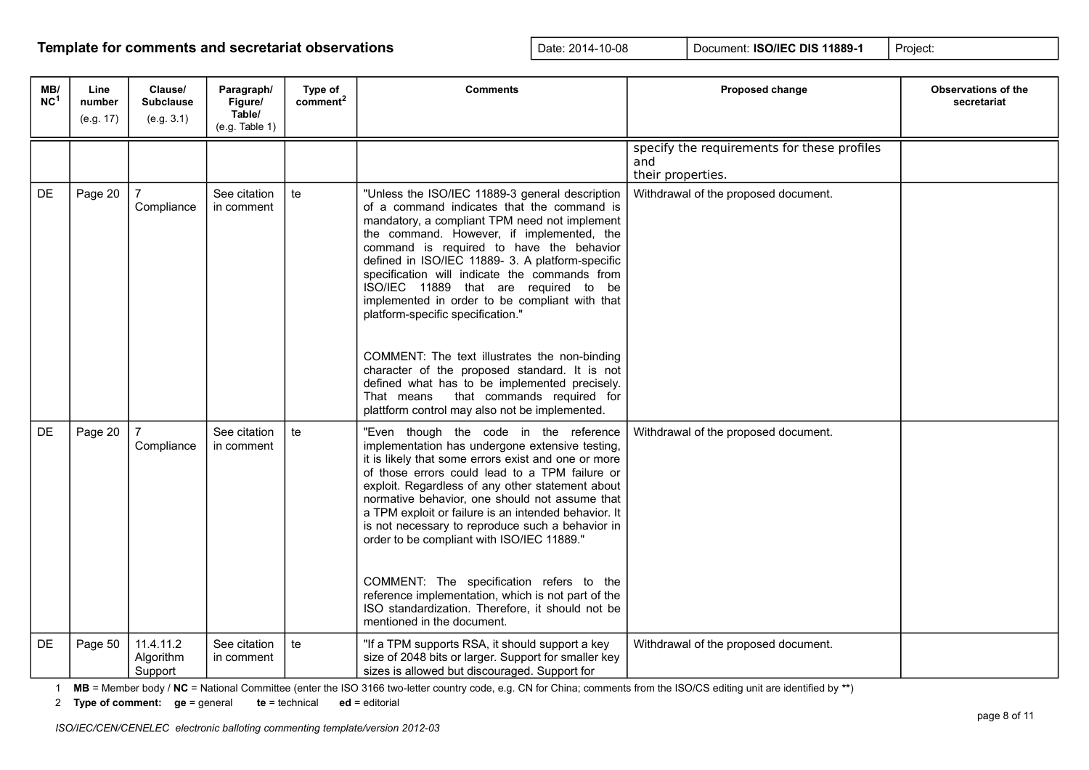| MB/<br>NC <sup>1</sup> | Line<br>number<br>(e.g. 17) | Clause/<br><b>Subclause</b><br>(e.g. 3.1) | Paragraph/<br>Figure/<br>Table/<br>(e.g. Table 1) | Type of<br>comment <sup>2</sup> | <b>Comments</b>                                                                                                                                                                                                                                                                                                                                                                                                                                                                                                                                                                                                                                                                                                            | Proposed change                                                         | <b>Observations of the</b><br>secretariat |
|------------------------|-----------------------------|-------------------------------------------|---------------------------------------------------|---------------------------------|----------------------------------------------------------------------------------------------------------------------------------------------------------------------------------------------------------------------------------------------------------------------------------------------------------------------------------------------------------------------------------------------------------------------------------------------------------------------------------------------------------------------------------------------------------------------------------------------------------------------------------------------------------------------------------------------------------------------------|-------------------------------------------------------------------------|-------------------------------------------|
|                        |                             |                                           |                                                   |                                 |                                                                                                                                                                                                                                                                                                                                                                                                                                                                                                                                                                                                                                                                                                                            | specify the requirements for these profiles<br>and<br>their properties. |                                           |
| DE                     | Page 20                     | Compliance                                | See citation<br>in comment                        | te                              | "Unless the ISO/IEC 11889-3 general description<br>of a command indicates that the command is<br>mandatory, a compliant TPM need not implement<br>the command. However, if implemented, the<br>command is required to have the behavior<br>defined in ISO/IEC 11889- 3. A platform-specific<br>specification will indicate the commands from<br>ISO/IEC 11889 that are required to be<br>implemented in order to be compliant with that<br>platform-specific specification."<br>COMMENT: The text illustrates the non-binding<br>character of the proposed standard. It is not<br>defined what has to be implemented precisely.<br>That means that commands required for<br>plattform control may also not be implemented. | Withdrawal of the proposed document.                                    |                                           |
| <b>DE</b>              | Page 20                     | Compliance                                | See citation<br>in comment                        | te                              | "Even though the code in the reference<br>implementation has undergone extensive testing,<br>it is likely that some errors exist and one or more<br>of those errors could lead to a TPM failure or<br>exploit. Regardless of any other statement about<br>normative behavior, one should not assume that<br>a TPM exploit or failure is an intended behavior. It<br>is not necessary to reproduce such a behavior in<br>order to be compliant with ISO/IEC 11889."<br>COMMENT: The specification refers to the<br>reference implementation, which is not part of the<br>ISO standardization. Therefore, it should not be<br>mentioned in the document.                                                                     | Withdrawal of the proposed document.                                    |                                           |
| DE                     | Page 50                     | 11.4.11.2<br>Algorithm<br>Support         | See citation<br>in comment                        | te                              | "If a TPM supports RSA, it should support a key<br>size of 2048 bits or larger. Support for smaller key<br>sizes is allowed but discouraged. Support for                                                                                                                                                                                                                                                                                                                                                                                                                                                                                                                                                                   | Withdrawal of the proposed document.                                    |                                           |

1 **MB** = Member body / **NC** = National Committee (enter the ISO 3166 two-letter country code, e.g. CN for China; comments from the ISO/CS editing unit are identified by **\*\***)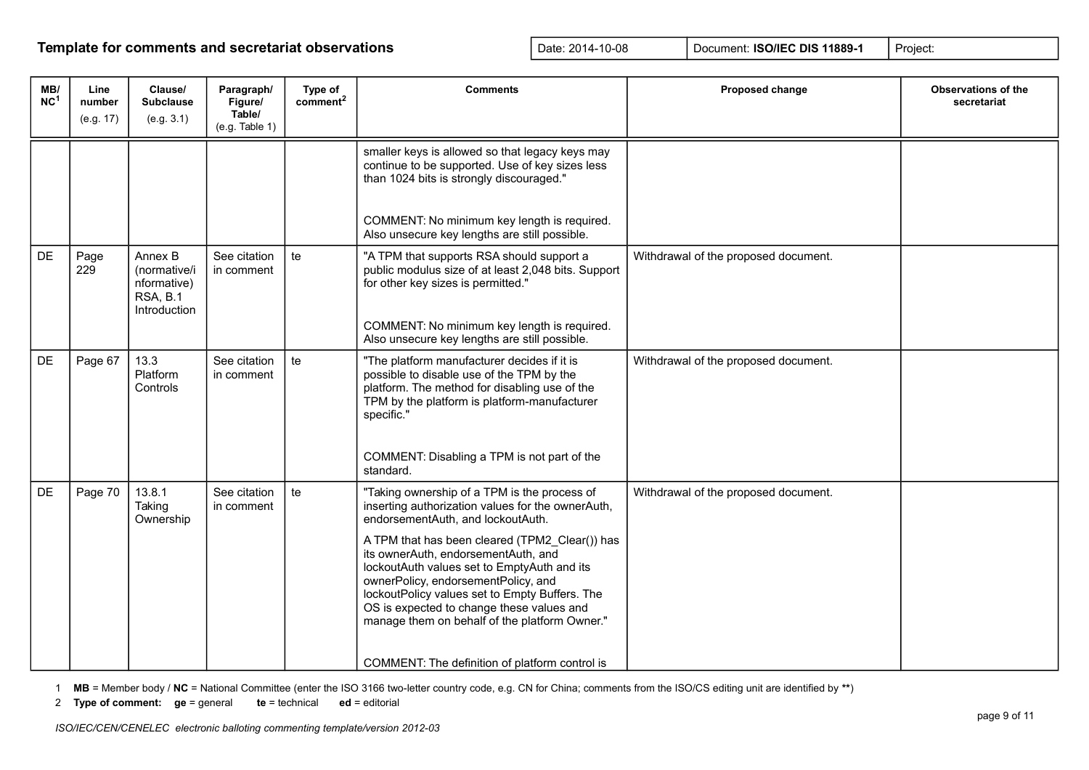| MB/<br>NC <sup>1</sup> | Line<br>number<br>(e.g. 17) | Clause/<br><b>Subclause</b><br>(e.g. 3.1)                                 | Paragraph/<br>Figure/<br>Table/<br>(e.g. Table 1) | Type of<br>comment <sup>2</sup> | <b>Comments</b>                                                                                                                                                                                                                                                                                                                                                                                                                                                       | <b>Proposed change</b>               | <b>Observations of the</b><br>secretariat |
|------------------------|-----------------------------|---------------------------------------------------------------------------|---------------------------------------------------|---------------------------------|-----------------------------------------------------------------------------------------------------------------------------------------------------------------------------------------------------------------------------------------------------------------------------------------------------------------------------------------------------------------------------------------------------------------------------------------------------------------------|--------------------------------------|-------------------------------------------|
|                        |                             |                                                                           |                                                   |                                 | smaller keys is allowed so that legacy keys may<br>continue to be supported. Use of key sizes less<br>than 1024 bits is strongly discouraged."                                                                                                                                                                                                                                                                                                                        |                                      |                                           |
|                        |                             |                                                                           |                                                   |                                 | COMMENT: No minimum key length is required.<br>Also unsecure key lengths are still possible.                                                                                                                                                                                                                                                                                                                                                                          |                                      |                                           |
| <b>DE</b>              | Page<br>229                 | Annex B<br>(normative/i<br>nformative)<br><b>RSA, B.1</b><br>Introduction | See citation<br>in comment                        | te                              | "A TPM that supports RSA should support a<br>public modulus size of at least 2,048 bits. Support<br>for other key sizes is permitted."<br>COMMENT: No minimum key length is required.                                                                                                                                                                                                                                                                                 | Withdrawal of the proposed document. |                                           |
|                        |                             |                                                                           |                                                   |                                 | Also unsecure key lengths are still possible.                                                                                                                                                                                                                                                                                                                                                                                                                         |                                      |                                           |
| DE                     | Page 67                     | 13.3<br>Platform<br>Controls                                              | See citation<br>in comment                        | te                              | "The platform manufacturer decides if it is<br>possible to disable use of the TPM by the<br>platform. The method for disabling use of the<br>TPM by the platform is platform-manufacturer<br>specific."                                                                                                                                                                                                                                                               | Withdrawal of the proposed document. |                                           |
|                        |                             |                                                                           |                                                   |                                 | COMMENT: Disabling a TPM is not part of the<br>standard.                                                                                                                                                                                                                                                                                                                                                                                                              |                                      |                                           |
| DE                     | Page 70                     | 13.8.1<br>Taking<br>Ownership                                             | See citation<br>in comment                        | te                              | "Taking ownership of a TPM is the process of<br>inserting authorization values for the ownerAuth,<br>endorsementAuth, and lockoutAuth.<br>A TPM that has been cleared (TPM2 Clear()) has<br>its ownerAuth, endorsementAuth, and<br>lockoutAuth values set to EmptyAuth and its<br>ownerPolicy, endorsementPolicy, and<br>lockoutPolicy values set to Empty Buffers. The<br>OS is expected to change these values and<br>manage them on behalf of the platform Owner." | Withdrawal of the proposed document. |                                           |
|                        |                             |                                                                           |                                                   |                                 | COMMENT: The definition of platform control is                                                                                                                                                                                                                                                                                                                                                                                                                        |                                      |                                           |

1 **MB** = Member body / **NC** = National Committee (enter the ISO 3166 two-letter country code, e.g. CN for China; comments from the ISO/CS editing unit are identified by **\*\***)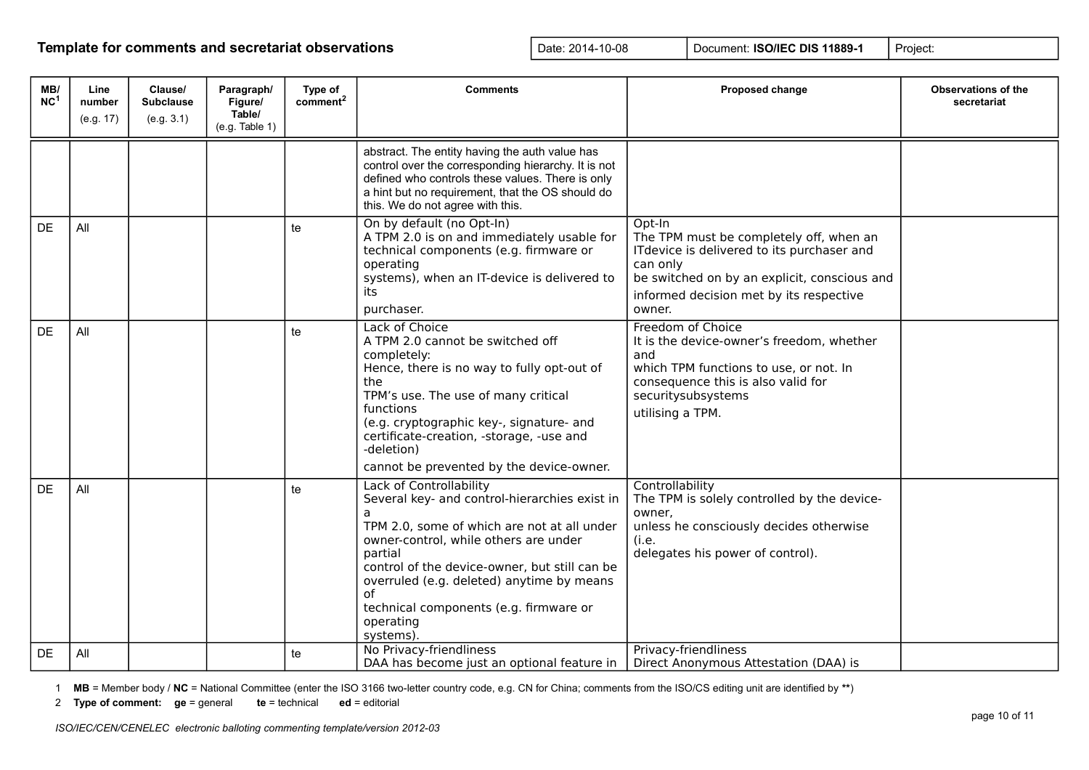| MB/<br>NC <sup>1</sup> | Line<br>number<br>(e.g. 17) | Clause/<br><b>Subclause</b><br>(e.g. 3.1) | Paragraph/<br>Figure/<br>Table/<br>(e.g. Table 1) | Type of<br>comment <sup>2</sup> | <b>Comments</b>                                                                                                                                                                                                                                                                                                                                     | Proposed change                                                                                                                                                                                                  | <b>Observations of the</b><br>secretariat |
|------------------------|-----------------------------|-------------------------------------------|---------------------------------------------------|---------------------------------|-----------------------------------------------------------------------------------------------------------------------------------------------------------------------------------------------------------------------------------------------------------------------------------------------------------------------------------------------------|------------------------------------------------------------------------------------------------------------------------------------------------------------------------------------------------------------------|-------------------------------------------|
|                        |                             |                                           |                                                   |                                 | abstract. The entity having the auth value has<br>control over the corresponding hierarchy. It is not<br>defined who controls these values. There is only<br>a hint but no requirement, that the OS should do<br>this. We do not agree with this.                                                                                                   |                                                                                                                                                                                                                  |                                           |
| <b>DE</b>              | All                         |                                           |                                                   | te                              | On by default (no Opt-In)<br>A TPM 2.0 is on and immediately usable for<br>technical components (e.g. firmware or<br>operating<br>systems), when an IT-device is delivered to<br>its<br>purchaser.                                                                                                                                                  | Opt-In<br>The TPM must be completely off, when an<br>ITdevice is delivered to its purchaser and<br>can only<br>be switched on by an explicit, conscious and<br>informed decision met by its respective<br>owner. |                                           |
| <b>DE</b>              | All                         |                                           |                                                   | te                              | Lack of Choice<br>A TPM 2.0 cannot be switched off<br>completely:<br>Hence, there is no way to fully opt-out of<br>the<br>TPM's use. The use of many critical<br>functions<br>(e.g. cryptographic key-, signature- and<br>certificate-creation, -storage, -use and<br>-deletion)<br>cannot be prevented by the device-owner.                        | Freedom of Choice<br>It is the device-owner's freedom, whether<br>and<br>which TPM functions to use, or not. In<br>consequence this is also valid for<br>securitysubsystems<br>utilising a TPM.                  |                                           |
| <b>DE</b>              | All                         |                                           |                                                   | te                              | Lack of Controllability<br>Several key- and control-hierarchies exist in<br>TPM 2.0, some of which are not at all under<br>owner-control, while others are under<br>partial<br>control of the device-owner, but still can be<br>overruled (e.g. deleted) anytime by means<br>of<br>technical components (e.g. firmware or<br>operating<br>systems). | Controllability<br>The TPM is solely controlled by the device-<br>owner,<br>unless he consciously decides otherwise<br>(i.e.<br>delegates his power of control).                                                 |                                           |
| DE                     | All                         |                                           |                                                   | te                              | No Privacy-friendliness<br>DAA has become just an optional feature in                                                                                                                                                                                                                                                                               | Privacy-friendliness<br>Direct Anonymous Attestation (DAA) is                                                                                                                                                    |                                           |

1 **MB** = Member body / **NC** = National Committee (enter the ISO 3166 two-letter country code, e.g. CN for China; comments from the ISO/CS editing unit are identified by **\*\***)